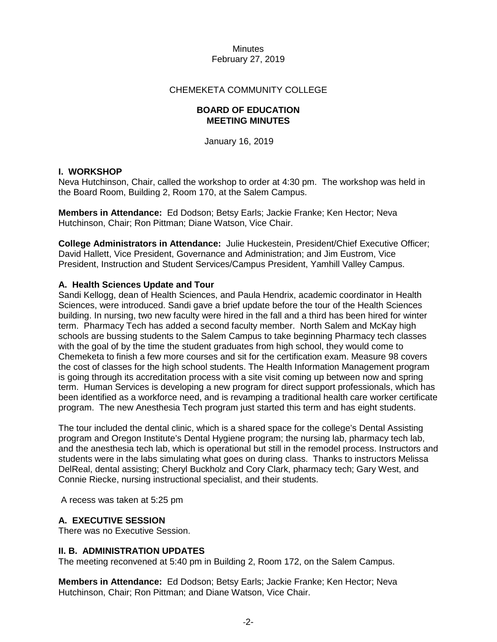## CHEMEKETA COMMUNITY COLLEGE

#### **BOARD OF EDUCATION MEETING MINUTES**

January 16, 2019

## **I. WORKSHOP**

Neva Hutchinson, Chair, called the workshop to order at 4:30 pm. The workshop was held in the Board Room, Building 2, Room 170, at the Salem Campus.

**Members in Attendance:** Ed Dodson; Betsy Earls; Jackie Franke; Ken Hector; Neva Hutchinson, Chair; Ron Pittman; Diane Watson, Vice Chair.

**College Administrators in Attendance:** Julie Huckestein, President/Chief Executive Officer; David Hallett, Vice President, Governance and Administration; and Jim Eustrom, Vice President, Instruction and Student Services/Campus President, Yamhill Valley Campus.

## **A. Health Sciences Update and Tour**

Sandi Kellogg, dean of Health Sciences, and Paula Hendrix, academic coordinator in Health Sciences, were introduced. Sandi gave a brief update before the tour of the Health Sciences building. In nursing, two new faculty were hired in the fall and a third has been hired for winter term. Pharmacy Tech has added a second faculty member. North Salem and McKay high schools are bussing students to the Salem Campus to take beginning Pharmacy tech classes with the goal of by the time the student graduates from high school, they would come to Chemeketa to finish a few more courses and sit for the certification exam. Measure 98 covers the cost of classes for the high school students. The Health Information Management program is going through its accreditation process with a site visit coming up between now and spring term. Human Services is developing a new program for direct support professionals, which has been identified as a workforce need, and is revamping a traditional health care worker certificate program. The new Anesthesia Tech program just started this term and has eight students.

The tour included the dental clinic, which is a shared space for the college's Dental Assisting program and Oregon Institute's Dental Hygiene program; the nursing lab, pharmacy tech lab, and the anesthesia tech lab, which is operational but still in the remodel process. Instructors and students were in the labs simulating what goes on during class. Thanks to instructors Melissa DelReal, dental assisting; Cheryl Buckholz and Cory Clark, pharmacy tech; Gary West, and Connie Riecke, nursing instructional specialist, and their students.

A recess was taken at 5:25 pm

# **A. EXECUTIVE SESSION**

There was no Executive Session.

### **II. B. ADMINISTRATION UPDATES**

The meeting reconvened at 5:40 pm in Building 2, Room 172, on the Salem Campus.

**Members in Attendance:** Ed Dodson; Betsy Earls; Jackie Franke; Ken Hector; Neva Hutchinson, Chair; Ron Pittman; and Diane Watson, Vice Chair.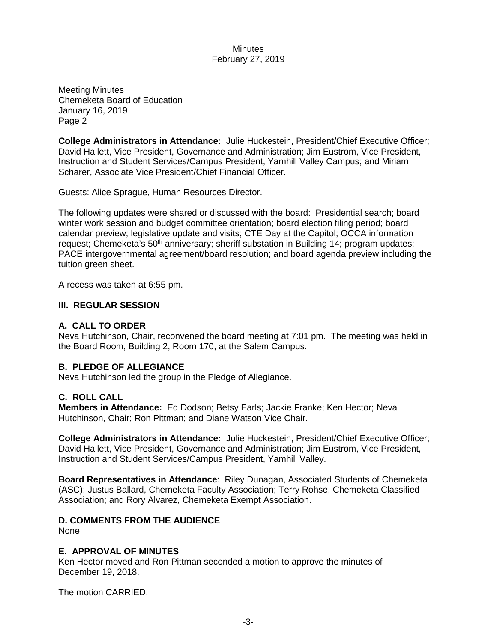Meeting Minutes Chemeketa Board of Education January 16, 2019 Page 2

**College Administrators in Attendance:** Julie Huckestein, President/Chief Executive Officer; David Hallett, Vice President, Governance and Administration; Jim Eustrom, Vice President, Instruction and Student Services/Campus President, Yamhill Valley Campus; and Miriam Scharer, Associate Vice President/Chief Financial Officer.

Guests: Alice Sprague, Human Resources Director.

The following updates were shared or discussed with the board: Presidential search; board winter work session and budget committee orientation; board election filing period; board calendar preview; legislative update and visits; CTE Day at the Capitol; OCCA information request; Chemeketa's 50<sup>th</sup> anniversary; sheriff substation in Building 14; program updates; PACE intergovernmental agreement/board resolution; and board agenda preview including the tuition green sheet.

A recess was taken at 6:55 pm.

# **III. REGULAR SESSION**

# **A. CALL TO ORDER**

Neva Hutchinson, Chair, reconvened the board meeting at 7:01 pm. The meeting was held in the Board Room, Building 2, Room 170, at the Salem Campus.

# **B. PLEDGE OF ALLEGIANCE**

Neva Hutchinson led the group in the Pledge of Allegiance.

# **C. ROLL CALL**

**Members in Attendance:** Ed Dodson; Betsy Earls; Jackie Franke; Ken Hector; Neva Hutchinson, Chair; Ron Pittman; and Diane Watson,Vice Chair.

**College Administrators in Attendance:** Julie Huckestein, President/Chief Executive Officer; David Hallett, Vice President, Governance and Administration; Jim Eustrom, Vice President, Instruction and Student Services/Campus President, Yamhill Valley.

**Board Representatives in Attendance**: Riley Dunagan, Associated Students of Chemeketa (ASC); Justus Ballard, Chemeketa Faculty Association; Terry Rohse, Chemeketa Classified Association; and Rory Alvarez, Chemeketa Exempt Association.

# **D. COMMENTS FROM THE AUDIENCE**

None

### **E. APPROVAL OF MINUTES**

Ken Hector moved and Ron Pittman seconded a motion to approve the minutes of December 19, 2018.

The motion CARRIED.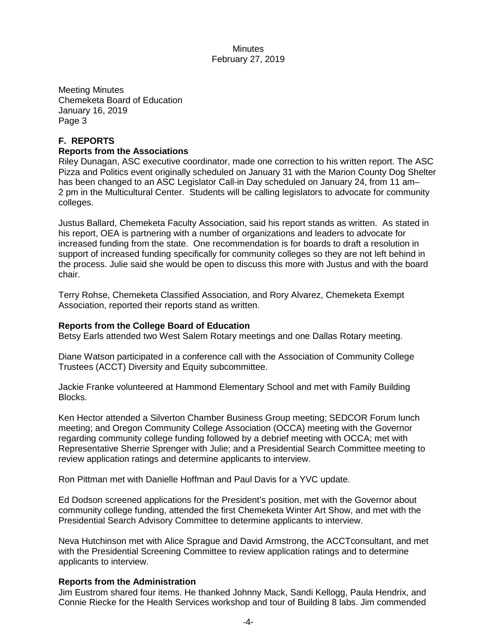Meeting Minutes Chemeketa Board of Education January 16, 2019 Page 3

# **F. REPORTS**

## **Reports from the Associations**

Riley Dunagan, ASC executive coordinator, made one correction to his written report. The ASC Pizza and Politics event originally scheduled on January 31 with the Marion County Dog Shelter has been changed to an ASC Legislator Call-in Day scheduled on January 24, from 11 am– 2 pm in the Multicultural Center. Students will be calling legislators to advocate for community colleges.

Justus Ballard, Chemeketa Faculty Association, said his report stands as written. As stated in his report, OEA is partnering with a number of organizations and leaders to advocate for increased funding from the state. One recommendation is for boards to draft a resolution in support of increased funding specifically for community colleges so they are not left behind in the process. Julie said she would be open to discuss this more with Justus and with the board chair.

Terry Rohse, Chemeketa Classified Association, and Rory Alvarez, Chemeketa Exempt Association, reported their reports stand as written.

### **Reports from the College Board of Education**

Betsy Earls attended two West Salem Rotary meetings and one Dallas Rotary meeting.

Diane Watson participated in a conference call with the Association of Community College Trustees (ACCT) Diversity and Equity subcommittee.

Jackie Franke volunteered at Hammond Elementary School and met with Family Building Blocks.

Ken Hector attended a Silverton Chamber Business Group meeting; SEDCOR Forum lunch meeting; and Oregon Community College Association (OCCA) meeting with the Governor regarding community college funding followed by a debrief meeting with OCCA; met with Representative Sherrie Sprenger with Julie; and a Presidential Search Committee meeting to review application ratings and determine applicants to interview.

Ron Pittman met with Danielle Hoffman and Paul Davis for a YVC update.

Ed Dodson screened applications for the President's position, met with the Governor about community college funding, attended the first Chemeketa Winter Art Show, and met with the Presidential Search Advisory Committee to determine applicants to interview.

Neva Hutchinson met with Alice Sprague and David Armstrong, the ACCTconsultant, and met with the Presidential Screening Committee to review application ratings and to determine applicants to interview.

### **Reports from the Administration**

Jim Eustrom shared four items. He thanked Johnny Mack, Sandi Kellogg, Paula Hendrix, and Connie Riecke for the Health Services workshop and tour of Building 8 labs. Jim commended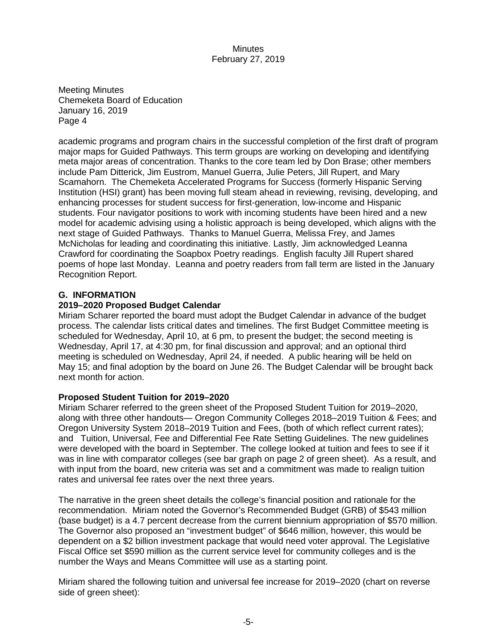Meeting Minutes Chemeketa Board of Education January 16, 2019 Page 4

academic programs and program chairs in the successful completion of the first draft of program major maps for Guided Pathways. This term groups are working on developing and identifying meta major areas of concentration. Thanks to the core team led by Don Brase; other members include Pam Ditterick, Jim Eustrom, Manuel Guerra, Julie Peters, Jill Rupert, and Mary Scamahorn. The Chemeketa Accelerated Programs for Success (formerly Hispanic Serving Institution (HSI) grant) has been moving full steam ahead in reviewing, revising, developing, and enhancing processes for student success for first-generation, low-income and Hispanic students. Four navigator positions to work with incoming students have been hired and a new model for academic advising using a holistic approach is being developed, which aligns with the next stage of Guided Pathways. Thanks to Manuel Guerra, Melissa Frey, and James McNicholas for leading and coordinating this initiative. Lastly, Jim acknowledged Leanna Crawford for coordinating the Soapbox Poetry readings. English faculty Jill Rupert shared poems of hope last Monday. Leanna and poetry readers from fall term are listed in the January Recognition Report.

# **G. INFORMATION**

# **2019–2020 Proposed Budget Calendar**

Miriam Scharer reported the board must adopt the Budget Calendar in advance of the budget process. The calendar lists critical dates and timelines. The first Budget Committee meeting is scheduled for Wednesday, April 10, at 6 pm, to present the budget; the second meeting is Wednesday, April 17, at 4:30 pm, for final discussion and approval; and an optional third meeting is scheduled on Wednesday, April 24, if needed. A public hearing will be held on May 15; and final adoption by the board on June 26. The Budget Calendar will be brought back next month for action.

# **Proposed Student Tuition for 2019–2020**

Miriam Scharer referred to the green sheet of the Proposed Student Tuition for 2019–2020, along with three other handouts— Oregon Community Colleges 2018–2019 Tuition & Fees; and Oregon University System 2018–2019 Tuition and Fees, (both of which reflect current rates); and Tuition, Universal, Fee and Differential Fee Rate Setting Guidelines. The new guidelines were developed with the board in September. The college looked at tuition and fees to see if it was in line with comparator colleges (see bar graph on page 2 of green sheet). As a result, and with input from the board, new criteria was set and a commitment was made to realign tuition rates and universal fee rates over the next three years.

The narrative in the green sheet details the college's financial position and rationale for the recommendation. Miriam noted the Governor's Recommended Budget (GRB) of \$543 million (base budget) is a 4.7 percent decrease from the current biennium appropriation of \$570 million. The Governor also proposed an "investment budget" of \$646 million, however, this would be dependent on a \$2 billion investment package that would need voter approval. The Legislative Fiscal Office set \$590 million as the current service level for community colleges and is the number the Ways and Means Committee will use as a starting point.

Miriam shared the following tuition and universal fee increase for 2019–2020 (chart on reverse side of green sheet):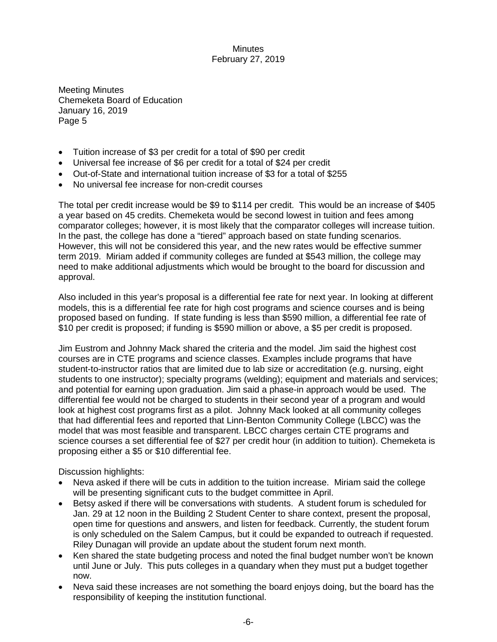Meeting Minutes Chemeketa Board of Education January 16, 2019 Page 5

- Tuition increase of \$3 per credit for a total of \$90 per credit
- Universal fee increase of \$6 per credit for a total of \$24 per credit
- Out-of-State and international tuition increase of \$3 for a total of \$255
- No universal fee increase for non-credit courses

The total per credit increase would be \$9 to \$114 per credit. This would be an increase of \$405 a year based on 45 credits. Chemeketa would be second lowest in tuition and fees among comparator colleges; however, it is most likely that the comparator colleges will increase tuition. In the past, the college has done a "tiered" approach based on state funding scenarios. However, this will not be considered this year, and the new rates would be effective summer term 2019. Miriam added if community colleges are funded at \$543 million, the college may need to make additional adjustments which would be brought to the board for discussion and approval.

Also included in this year's proposal is a differential fee rate for next year. In looking at different models, this is a differential fee rate for high cost programs and science courses and is being proposed based on funding. If state funding is less than \$590 million, a differential fee rate of \$10 per credit is proposed; if funding is \$590 million or above, a \$5 per credit is proposed.

Jim Eustrom and Johnny Mack shared the criteria and the model. Jim said the highest cost courses are in CTE programs and science classes. Examples include programs that have student-to-instructor ratios that are limited due to lab size or accreditation (e.g. nursing, eight students to one instructor); specialty programs (welding); equipment and materials and services; and potential for earning upon graduation. Jim said a phase-in approach would be used. The differential fee would not be charged to students in their second year of a program and would look at highest cost programs first as a pilot. Johnny Mack looked at all community colleges that had differential fees and reported that Linn-Benton Community College (LBCC) was the model that was most feasible and transparent. LBCC charges certain CTE programs and science courses a set differential fee of \$27 per credit hour (in addition to tuition). Chemeketa is proposing either a \$5 or \$10 differential fee.

Discussion highlights:

- Neva asked if there will be cuts in addition to the tuition increase. Miriam said the college will be presenting significant cuts to the budget committee in April.
- Betsy asked if there will be conversations with students. A student forum is scheduled for Jan. 29 at 12 noon in the Building 2 Student Center to share context, present the proposal, open time for questions and answers, and listen for feedback. Currently, the student forum is only scheduled on the Salem Campus, but it could be expanded to outreach if requested. Riley Dunagan will provide an update about the student forum next month.
- Ken shared the state budgeting process and noted the final budget number won't be known until June or July. This puts colleges in a quandary when they must put a budget together now.
- Neva said these increases are not something the board enjoys doing, but the board has the responsibility of keeping the institution functional.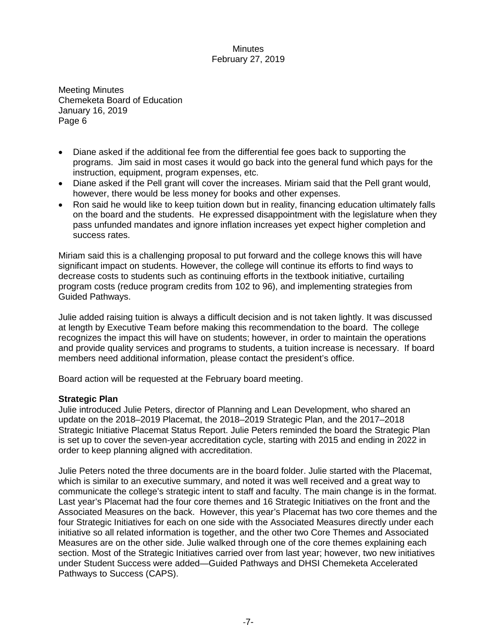Meeting Minutes Chemeketa Board of Education January 16, 2019 Page 6

- Diane asked if the additional fee from the differential fee goes back to supporting the programs. Jim said in most cases it would go back into the general fund which pays for the instruction, equipment, program expenses, etc.
- Diane asked if the Pell grant will cover the increases. Miriam said that the Pell grant would, however, there would be less money for books and other expenses.
- Ron said he would like to keep tuition down but in reality, financing education ultimately falls on the board and the students. He expressed disappointment with the legislature when they pass unfunded mandates and ignore inflation increases yet expect higher completion and success rates.

Miriam said this is a challenging proposal to put forward and the college knows this will have significant impact on students. However, the college will continue its efforts to find ways to decrease costs to students such as continuing efforts in the textbook initiative, curtailing program costs (reduce program credits from 102 to 96), and implementing strategies from Guided Pathways.

Julie added raising tuition is always a difficult decision and is not taken lightly. It was discussed at length by Executive Team before making this recommendation to the board. The college recognizes the impact this will have on students; however, in order to maintain the operations and provide quality services and programs to students, a tuition increase is necessary. If board members need additional information, please contact the president's office.

Board action will be requested at the February board meeting.

### **Strategic Plan**

Julie introduced Julie Peters, director of Planning and Lean Development, who shared an update on the 2018–2019 Placemat, the 2018–2019 Strategic Plan, and the 2017–2018 Strategic Initiative Placemat Status Report. Julie Peters reminded the board the Strategic Plan is set up to cover the seven-year accreditation cycle, starting with 2015 and ending in 2022 in order to keep planning aligned with accreditation.

Julie Peters noted the three documents are in the board folder. Julie started with the Placemat, which is similar to an executive summary, and noted it was well received and a great way to communicate the college's strategic intent to staff and faculty. The main change is in the format. Last year's Placemat had the four core themes and 16 Strategic Initiatives on the front and the Associated Measures on the back. However, this year's Placemat has two core themes and the four Strategic Initiatives for each on one side with the Associated Measures directly under each initiative so all related information is together, and the other two Core Themes and Associated Measures are on the other side. Julie walked through one of the core themes explaining each section. Most of the Strategic Initiatives carried over from last year; however, two new initiatives under Student Success were added—Guided Pathways and DHSI Chemeketa Accelerated Pathways to Success (CAPS).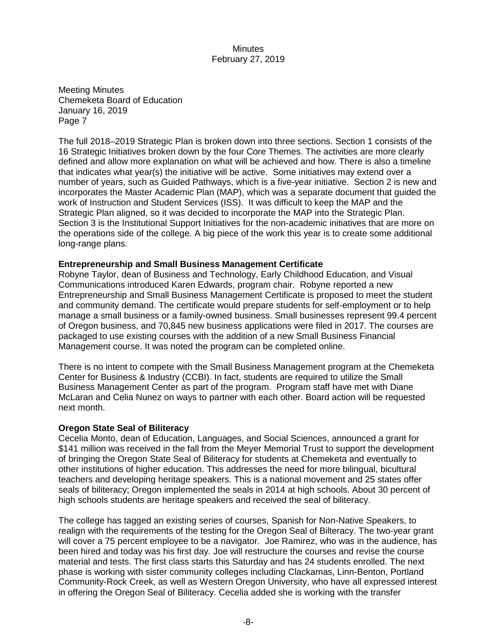Meeting Minutes Chemeketa Board of Education January 16, 2019 Page 7

The full 2018–2019 Strategic Plan is broken down into three sections. Section 1 consists of the 16 Strategic Initiatives broken down by the four Core Themes. The activities are more clearly defined and allow more explanation on what will be achieved and how. There is also a timeline that indicates what year(s) the initiative will be active. Some initiatives may extend over a number of years, such as Guided Pathways, which is a five-year initiative. Section 2 is new and incorporates the Master Academic Plan (MAP), which was a separate document that guided the work of Instruction and Student Services (ISS). It was difficult to keep the MAP and the Strategic Plan aligned, so it was decided to incorporate the MAP into the Strategic Plan. Section 3 is the Institutional Support Initiatives for the non-academic initiatives that are more on the operations side of the college. A big piece of the work this year is to create some additional long-range plans.

## **Entrepreneurship and Small Business Management Certificate**

Robyne Taylor, dean of Business and Technology, Early Childhood Education, and Visual Communications introduced Karen Edwards, program chair. Robyne reported a new Entrepreneurship and Small Business Management Certificate is proposed to meet the student and community demand. The certificate would prepare students for self-employment or to help manage a small business or a family-owned business. Small businesses represent 99.4 percent of Oregon business, and 70,845 new business applications were filed in 2017. The courses are packaged to use existing courses with the addition of a new Small Business Financial Management course. It was noted the program can be completed online.

There is no intent to compete with the Small Business Management program at the Chemeketa Center for Business & Industry (CCBI). In fact, students are required to utilize the Small Business Management Center as part of the program. Program staff have met with Diane McLaran and Celia Nunez on ways to partner with each other. Board action will be requested next month.

### **Oregon State Seal of Biliteracy**

Cecelia Monto, dean of Education, Languages, and Social Sciences, announced a grant for \$141 million was received in the fall from the Meyer Memorial Trust to support the development of bringing the Oregon State Seal of Biliteracy for students at Chemeketa and eventually to other institutions of higher education. This addresses the need for more bilingual, bicultural teachers and developing heritage speakers. This is a national movement and 25 states offer seals of biliteracy; Oregon implemented the seals in 2014 at high schools. About 30 percent of high schools students are heritage speakers and received the seal of biliteracy.

The college has tagged an existing series of courses, Spanish for Non-Native Speakers, to realign with the requirements of the testing for the Oregon Seal of Bilteracy. The two-year grant will cover a 75 percent employee to be a navigator. Joe Ramirez, who was in the audience, has been hired and today was his first day. Joe will restructure the courses and revise the course material and tests. The first class starts this Saturday and has 24 students enrolled. The next phase is working with sister community colleges including Clackamas, Linn-Benton, Portland Community-Rock Creek, as well as Western Oregon University, who have all expressed interest in offering the Oregon Seal of Biliteracy. Cecelia added she is working with the transfer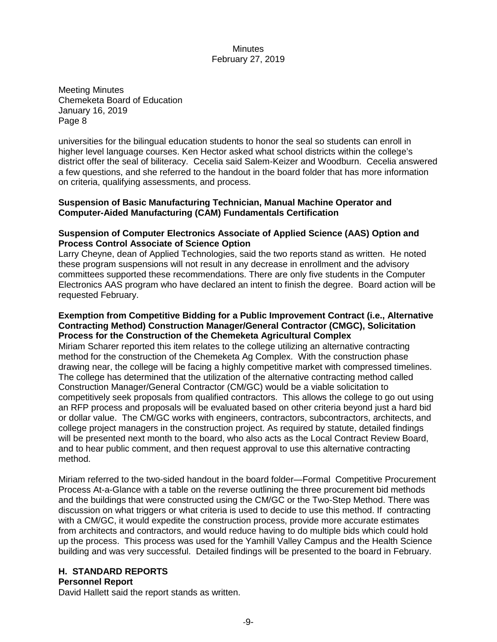Meeting Minutes Chemeketa Board of Education January 16, 2019 Page 8

universities for the bilingual education students to honor the seal so students can enroll in higher level language courses. Ken Hector asked what school districts within the college's district offer the seal of biliteracy. Cecelia said Salem-Keizer and Woodburn. Cecelia answered a few questions, and she referred to the handout in the board folder that has more information on criteria, qualifying assessments, and process.

### **Suspension of Basic Manufacturing Technician, Manual Machine Operator and Computer-Aided Manufacturing (CAM) Fundamentals Certification**

### **Suspension of Computer Electronics Associate of Applied Science (AAS) Option and Process Control Associate of Science Option**

Larry Cheyne, dean of Applied Technologies, said the two reports stand as written. He noted these program suspensions will not result in any decrease in enrollment and the advisory committees supported these recommendations. There are only five students in the Computer Electronics AAS program who have declared an intent to finish the degree. Board action will be requested February.

### **Exemption from Competitive Bidding for a Public Improvement Contract (i.e., Alternative Contracting Method) Construction Manager/General Contractor (CMGC), Solicitation Process for the Construction of the Chemeketa Agricultural Complex**

Miriam Scharer reported this item relates to the college utilizing an alternative contracting method for the construction of the Chemeketa Ag Complex. With the construction phase drawing near, the college will be facing a highly competitive market with compressed timelines. The college has determined that the utilization of the alternative contracting method called Construction Manager/General Contractor (CM/GC) would be a viable solicitation to competitively seek proposals from qualified contractors. This allows the college to go out using an RFP process and proposals will be evaluated based on other criteria beyond just a hard bid or dollar value. The CM/GC works with engineers, contractors, subcontractors, architects, and college project managers in the construction project. As required by statute, detailed findings will be presented next month to the board, who also acts as the Local Contract Review Board, and to hear public comment, and then request approval to use this alternative contracting method.

Miriam referred to the two-sided handout in the board folder—Formal Competitive Procurement Process At-a-Glance with a table on the reverse outlining the three procurement bid methods and the buildings that were constructed using the CM/GC or the Two-Step Method. There was discussion on what triggers or what criteria is used to decide to use this method. If contracting with a CM/GC, it would expedite the construction process, provide more accurate estimates from architects and contractors, and would reduce having to do multiple bids which could hold up the process. This process was used for the Yamhill Valley Campus and the Health Science building and was very successful. Detailed findings will be presented to the board in February.

# **H. STANDARD REPORTS**

# **Personnel Report**

David Hallett said the report stands as written.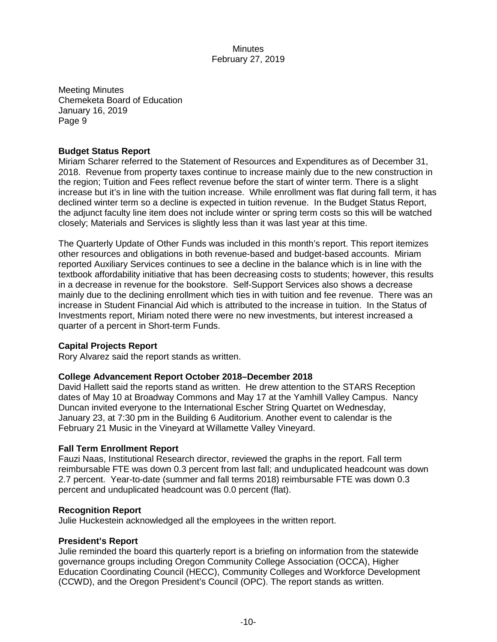Meeting Minutes Chemeketa Board of Education January 16, 2019 Page 9

### **Budget Status Report**

Miriam Scharer referred to the Statement of Resources and Expenditures as of December 31, 2018. Revenue from property taxes continue to increase mainly due to the new construction in the region; Tuition and Fees reflect revenue before the start of winter term. There is a slight increase but it's in line with the tuition increase. While enrollment was flat during fall term, it has declined winter term so a decline is expected in tuition revenue. In the Budget Status Report, the adjunct faculty line item does not include winter or spring term costs so this will be watched closely; Materials and Services is slightly less than it was last year at this time.

The Quarterly Update of Other Funds was included in this month's report. This report itemizes other resources and obligations in both revenue-based and budget-based accounts. Miriam reported Auxiliary Services continues to see a decline in the balance which is in line with the textbook affordability initiative that has been decreasing costs to students; however, this results in a decrease in revenue for the bookstore. Self-Support Services also shows a decrease mainly due to the declining enrollment which ties in with tuition and fee revenue. There was an increase in Student Financial Aid which is attributed to the increase in tuition. In the Status of Investments report, Miriam noted there were no new investments, but interest increased a quarter of a percent in Short-term Funds.

### **Capital Projects Report**

Rory Alvarez said the report stands as written.

# **College Advancement Report October 2018–December 2018**

David Hallett said the reports stand as written. He drew attention to the STARS Reception dates of May 10 at Broadway Commons and May 17 at the Yamhill Valley Campus. Nancy Duncan invited everyone to the International Escher String Quartet on Wednesday, January 23, at 7:30 pm in the Building 6 Auditorium. Another event to calendar is the February 21 Music in the Vineyard at Willamette Valley Vineyard.

### **Fall Term Enrollment Report**

Fauzi Naas, Institutional Research director, reviewed the graphs in the report. Fall term reimbursable FTE was down 0.3 percent from last fall; and unduplicated headcount was down 2.7 percent. Year-to-date (summer and fall terms 2018) reimbursable FTE was down 0.3 percent and unduplicated headcount was 0.0 percent (flat).

### **Recognition Report**

Julie Huckestein acknowledged all the employees in the written report.

### **President's Report**

Julie reminded the board this quarterly report is a briefing on information from the statewide governance groups including Oregon Community College Association (OCCA), Higher Education Coordinating Council (HECC), Community Colleges and Workforce Development (CCWD), and the Oregon President's Council (OPC). The report stands as written.